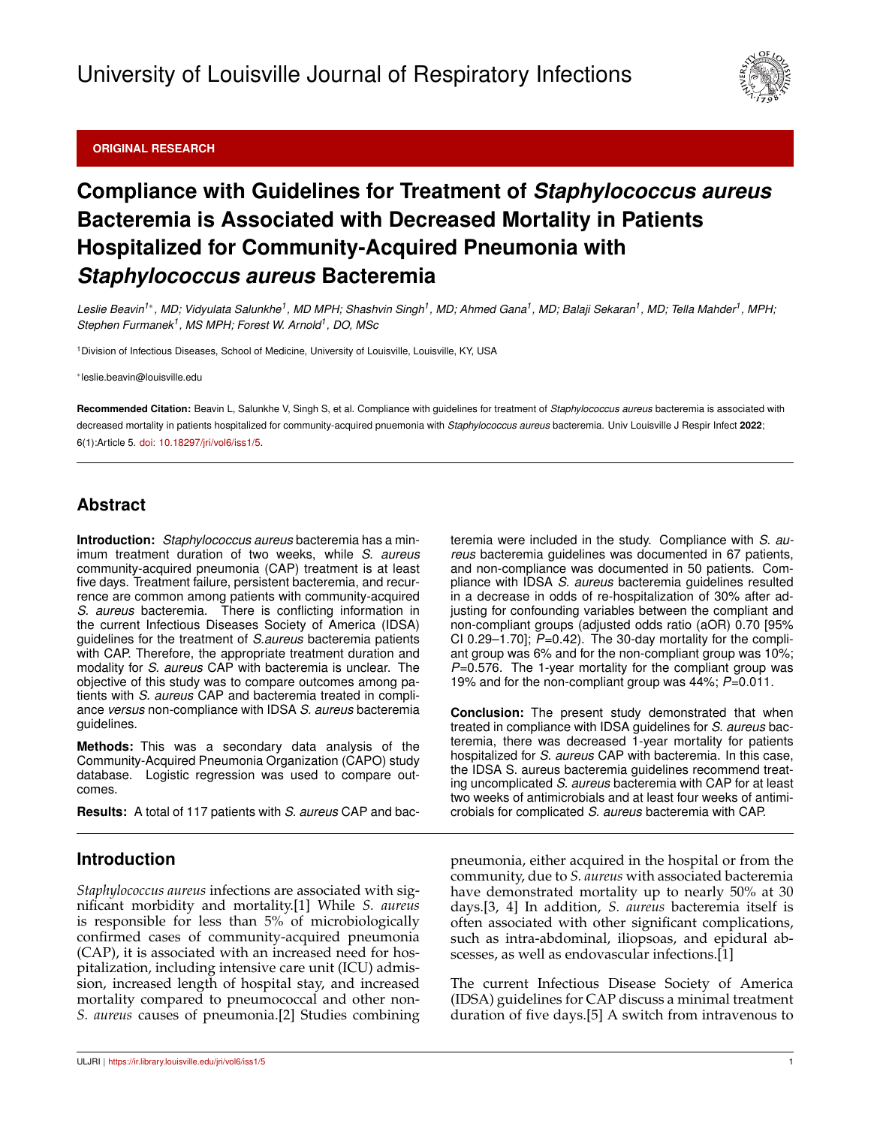### **ORIGINAL RESEARCH**



# **Compliance with Guidelines for Treatment of** *Staphylococcus aureus* **Bacteremia is Associated with Decreased Mortality in Patients Hospitalized for Community-Acquired Pneumonia with** *Staphylococcus aureus* **Bacteremia**

Leslie Beavin<sup>1\*</sup>, MD; Vidyulata Salunkhe<sup>1</sup>, MD MPH; Shashvin Singh<sup>1</sup>, MD; Ahmed Gana<sup>1</sup>, MD; Balaji Sekaran<sup>1</sup>, MD; Tella Mahder<sup>1</sup>, MPH; *Stephen Furmanek<sup>1</sup> , MS MPH; Forest W. Arnold<sup>1</sup> , DO, MSc*

<sup>1</sup>Division of Infectious Diseases, School of Medicine, University of Louisville, Louisville, KY, USA

∗ leslie.beavin@louisville.edu

**Recommended Citation:** Beavin L, Salunkhe V, Singh S, et al. Compliance with guidelines for treatment of *Staphylococcus aureus* bacteremia is associated with decreased mortality in patients hospitalized for community-acquired pnuemonia with *Staphylococcus aureus* bacteremia. Univ Louisville J Respir Infect **2022**; 6(1):Article 5. [doi: 10.18297/jri/vol6/iss1/5.](http://dx.doi.org/10.18297/jri/vol\volume /iss\issue /\articleno )

## **Abstract**

**Introduction:** *Staphylococcus aureus* bacteremia has a minimum treatment duration of two weeks, while *S. aureus* community-acquired pneumonia (CAP) treatment is at least five days. Treatment failure, persistent bacteremia, and recurrence are common among patients with community-acquired *S. aureus* bacteremia. There is conflicting information in the current Infectious Diseases Society of America (IDSA) guidelines for the treatment of *S.aureus* bacteremia patients with CAP. Therefore, the appropriate treatment duration and modality for *S. aureus* CAP with bacteremia is unclear. The objective of this study was to compare outcomes among patients with *S. aureus* CAP and bacteremia treated in compliance *versus* non-compliance with IDSA *S. aureus* bacteremia guidelines.

**Methods:** This was a secondary data analysis of the Community-Acquired Pneumonia Organization (CAPO) study database. Logistic regression was used to compare outcomes.

**Results:** A total of 117 patients with *S. aureus* CAP and bac-

### **Introduction**

*Staphylococcus aureus* infections are associated with significant morbidity and mortality.[1] While *S. aureus* is responsible for less than 5% of microbiologically confirmed cases of community-acquired pneumonia (CAP), it is associated with an increased need for hospitalization, including intensive care unit (ICU) admission, increased length of hospital stay, and increased mortality compared to pneumococcal and other non-*S. aureus* causes of pneumonia.[2] Studies combining teremia were included in the study. Compliance with *S. aureus* bacteremia guidelines was documented in 67 patients, and non-compliance was documented in 50 patients. Compliance with IDSA *S. aureus* bacteremia guidelines resulted in a decrease in odds of re-hospitalization of 30% after adjusting for confounding variables between the compliant and non-compliant groups (adjusted odds ratio (aOR) 0.70 [95% CI 0.29–1.70]; *P*=0.42). The 30-day mortality for the compliant group was 6% and for the non-compliant group was 10%; *P*=0.576. The 1-year mortality for the compliant group was 19% and for the non-compliant group was 44%; *P*=0.011.

**Conclusion:** The present study demonstrated that when treated in compliance with IDSA guidelines for *S. aureus* bacteremia, there was decreased 1-year mortality for patients hospitalized for *S. aureus* CAP with bacteremia. In this case, the IDSA S. aureus bacteremia guidelines recommend treating uncomplicated *S. aureus* bacteremia with CAP for at least two weeks of antimicrobials and at least four weeks of antimicrobials for complicated *S. aureus* bacteremia with CAP.

pneumonia, either acquired in the hospital or from the community, due to *S. aureus* with associated bacteremia have demonstrated mortality up to nearly 50% at 30 days.[3, 4] In addition, *S. aureus* bacteremia itself is often associated with other significant complications, such as intra-abdominal, iliopsoas, and epidural abscesses, as well as endovascular infections.[1]

The current Infectious Disease Society of America (IDSA) guidelines for CAP discuss a minimal treatment duration of five days.[5] A switch from intravenous to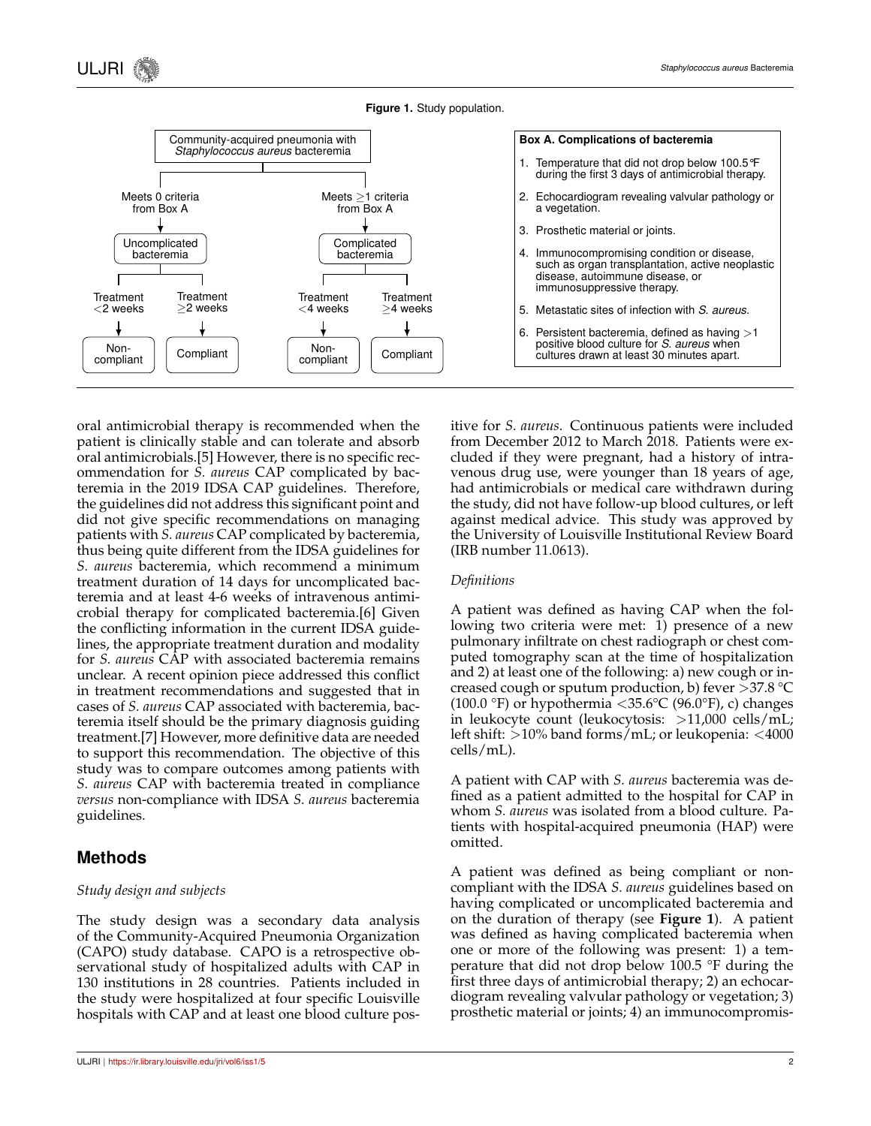



oral antimicrobial therapy is recommended when the patient is clinically stable and can tolerate and absorb oral antimicrobials.[5] However, there is no specific recommendation for *S. aureus* CAP complicated by bacteremia in the 2019 IDSA CAP guidelines. Therefore, the guidelines did not address this significant point and did not give specific recommendations on managing patients with *S. aureus* CAP complicated by bacteremia, thus being quite different from the IDSA guidelines for *S. aureus* bacteremia, which recommend a minimum treatment duration of 14 days for uncomplicated bacteremia and at least 4-6 weeks of intravenous antimicrobial therapy for complicated bacteremia.[6] Given the conflicting information in the current IDSA guidelines, the appropriate treatment duration and modality for *S. aureus* CAP with associated bacteremia remains unclear. A recent opinion piece addressed this conflict in treatment recommendations and suggested that in cases of *S. aureus* CAP associated with bacteremia, bacteremia itself should be the primary diagnosis guiding treatment.[7] However, more definitive data are needed to support this recommendation. The objective of this study was to compare outcomes among patients with *S. aureus* CAP with bacteremia treated in compliance *versus* non-compliance with IDSA *S. aureus* bacteremia guidelines.

### **Methods**

#### *Study design and subjects*

The study design was a secondary data analysis of the Community-Acquired Pneumonia Organization (CAPO) study database. CAPO is a retrospective observational study of hospitalized adults with CAP in 130 institutions in 28 countries. Patients included in the study were hospitalized at four specific Louisville hospitals with CAP and at least one blood culture positive for *S. aureus*. Continuous patients were included from December 2012 to March 2018. Patients were excluded if they were pregnant, had a history of intravenous drug use, were younger than 18 years of age, had antimicrobials or medical care withdrawn during the study, did not have follow-up blood cultures, or left against medical advice. This study was approved by the University of Louisville Institutional Review Board (IRB number 11.0613).

#### *Definitions*

A patient was defined as having CAP when the following two criteria were met: 1) presence of a new pulmonary infiltrate on chest radiograph or chest computed tomography scan at the time of hospitalization and 2) at least one of the following: a) new cough or increased cough or sputum production, b) fever  $>37.8$  °C (100.0 °F) or hypothermia  $\langle 35.6^{\circ}$ C (96.0°F), c) changes in leukocyte count (leukocytosis: >11,000 cells/mL; left shift: >10% band forms/mL; or leukopenia: <4000 cells/mL).

A patient with CAP with *S. aureus* bacteremia was defined as a patient admitted to the hospital for CAP in whom *S. aureus* was isolated from a blood culture. Patients with hospital-acquired pneumonia (HAP) were omitted.

A patient was defined as being compliant or noncompliant with the IDSA *S. aureus* guidelines based on having complicated or uncomplicated bacteremia and on the duration of therapy (see **Figure 1**). A patient was defined as having complicated bacteremia when one or more of the following was present: 1) a temperature that did not drop below 100.5 °F during the first three days of antimicrobial therapy; 2) an echocardiogram revealing valvular pathology or vegetation; 3) prosthetic material or joints; 4) an immunocompromis-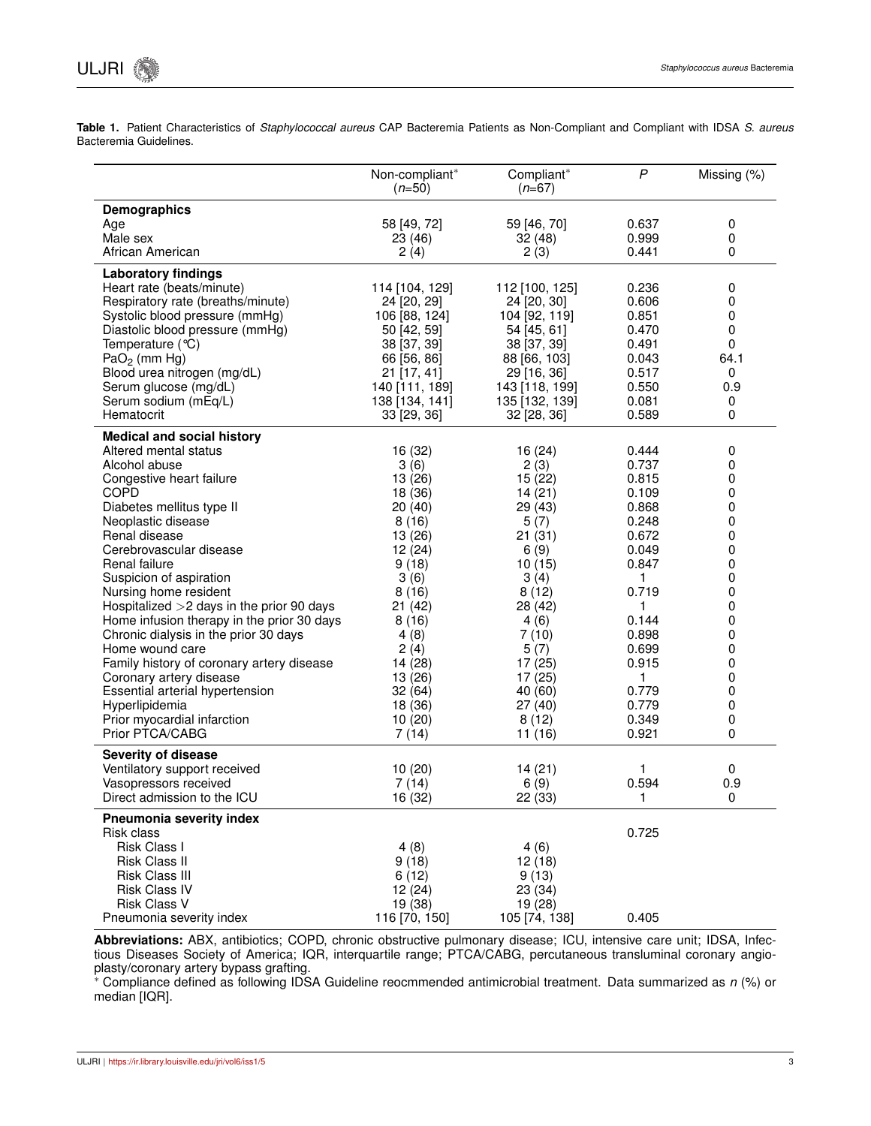**Table 1.** Patient Characteristics of *Staphylococcal aureus* CAP Bacteremia Patients as Non-Compliant and Compliant with IDSA *S. aureus* Bacteremia Guidelines.

|                                             | Non-compliant*<br>$(n=50)$ | Compliant*<br>$(n=67)$ | $\mathsf{P}$   | Missing (%) |
|---------------------------------------------|----------------------------|------------------------|----------------|-------------|
| Demographics                                |                            |                        |                |             |
| Age                                         | 58 [49, 72]                | 59 [46, 70]            | 0.637          | 0           |
| Male sex                                    | 23 (46)                    | 32(48)                 | 0.999          | 0           |
| African American                            | 2(4)                       | 2(3)                   | 0.441          | 0           |
| <b>Laboratory findings</b>                  |                            |                        |                |             |
| Heart rate (beats/minute)                   | 114 [104, 129]             | 112 [100, 125]         | 0.236          | 0           |
| Respiratory rate (breaths/minute)           | 24 [20, 29]                | 24 [20, 30]            | 0.606          | 0           |
| Systolic blood pressure (mmHg)              | 106 [88, 124]              | 104 [92, 119]          | 0.851          | 0           |
| Diastolic blood pressure (mmHg)             | 50 [42, 59]                | 54 [45, 61]            | 0.470          | 0           |
| Temperature $(°C)$                          | 38 [37, 39]                | 38 [37, 39]            | 0.491          | 0           |
| $PaO2$ (mm Hg)                              | 66 [56, 86]                | 88 [66, 103]           | 0.043          | 64.1        |
| Blood urea nitrogen (mg/dL)                 | 21 [17, 41]                | 29 [16, 36]            | 0.517          | 0           |
| Serum glucose (mg/dL)                       | 140 [111, 189]             | 143 [118, 199]         | 0.550          | 0.9         |
| Serum sodium (mEq/L)                        | 138 [134, 141]             | 135 [132, 139]         | 0.081          | 0           |
| Hematocrit                                  | 33 [29, 36]                | 32 [28, 36]            | 0.589          | 0           |
| <b>Medical and social history</b>           |                            |                        |                |             |
| Altered mental status                       | 16 (32)                    | 16(24)                 | 0.444          | 0           |
| Alcohol abuse                               | 3(6)                       | 2(3)                   | 0.737          | 0           |
| Congestive heart failure                    | 13 (26)                    | 15(22)                 | 0.815          | 0           |
| <b>COPD</b>                                 | 18 (36)                    | 14(21)                 | 0.109          | 0           |
| Diabetes mellitus type II                   | 20(40)                     | 29 (43)                | 0.868          | 0           |
| Neoplastic disease<br>Renal disease         | 8(16)                      | 5(7)                   | 0.248          | 0           |
| Cerebrovascular disease                     | 13 (26)                    | 21(31)                 | 0.672<br>0.049 | 0<br>0      |
| Renal failure                               | 12 (24)<br>9(18)           | 6(9)<br>10(15)         | 0.847          | 0           |
| Suspicion of aspiration                     | 3(6)                       | 3(4)                   | 1.             | 0           |
| Nursing home resident                       | 8(16)                      | 8(12)                  | 0.719          | 0           |
| Hospitalized $>2$ days in the prior 90 days | 21(42)                     | 28 (42)                | 1              | 0           |
| Home infusion therapy in the prior 30 days  | 8(16)                      | 4(6)                   | 0.144          | 0           |
| Chronic dialysis in the prior 30 days       | 4(8)                       | 7(10)                  | 0.898          | 0           |
| Home wound care                             | 2(4)                       | 5(7)                   | 0.699          | 0           |
| Family history of coronary artery disease   | 14 (28)                    | 17(25)                 | 0.915          | 0           |
| Coronary artery disease                     | 13 (26)                    | 17(25)                 | 1              | 0           |
| Essential arterial hypertension             | 32(64)                     | 40 (60)                | 0.779          | 0           |
| Hyperlipidemia                              | 18 (36)                    | 27(40)                 | 0.779          | 0           |
| Prior myocardial infarction                 | 10(20)                     | 8(12)                  | 0.349          | 0           |
| Prior PTCA/CABG                             | 7(14)                      | 11(16)                 | 0.921          | 0           |
| <b>Severity of disease</b>                  |                            |                        |                |             |
| Ventilatory support received                | 10(20)                     | 14(21)                 | 1              | 0           |
| Vasopressors received                       | 7(14)                      | 6(9)                   | 0.594          | 0.9         |
| Direct admission to the ICU                 | 16 (32)                    | 22 (33)                | 1              | 0           |
| Pneumonia severity index                    |                            |                        |                |             |
| Risk class                                  |                            |                        | 0.725          |             |
| Risk Class I                                | 4(8)                       | 4(6)                   |                |             |
| Risk Class II                               | 9(18)                      | 12(18)                 |                |             |
| Risk Class III                              | 6(12)                      | 9(13)                  |                |             |
| <b>Risk Class IV</b>                        | 12 (24)                    | 23 (34)                |                |             |
| <b>Risk Class V</b>                         | 19 (38)                    | 19 (28)                |                |             |
| Pneumonia severity index                    | 116 [70, 150]              | 105 [74, 138]          | 0.405          |             |

**Abbreviations:** ABX, antibiotics; COPD, chronic obstructive pulmonary disease; ICU, intensive care unit; IDSA, Infectious Diseases Society of America; IQR, interquartile range; PTCA/CABG, percutaneous transluminal coronary angioplasty/coronary artery bypass grafting.

<sup>∗</sup> Compliance defined as following IDSA Guideline reocmmended antimicrobial treatment. Data summarized as *n* (%) or median [IQR].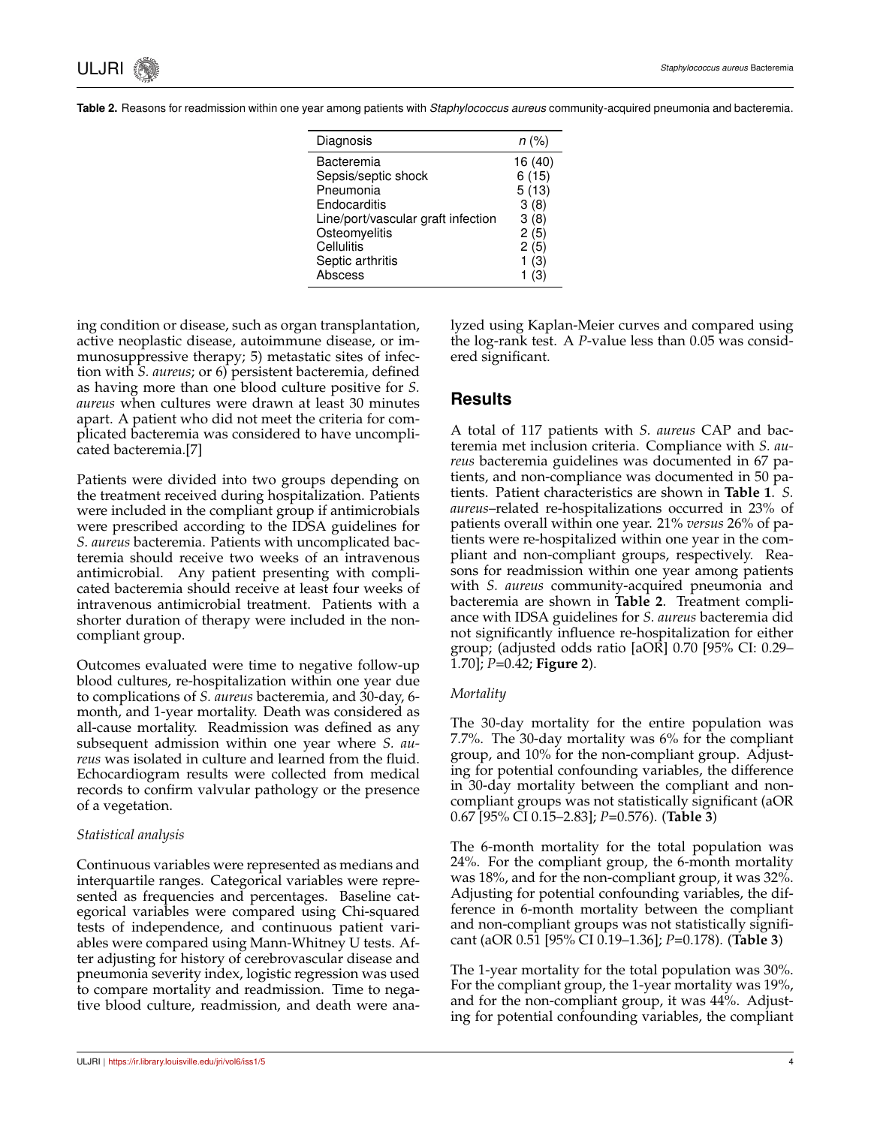| Diagnosis                          | $n (\% )$ |
|------------------------------------|-----------|
| Bacteremia                         | 16 (40)   |
| Sepsis/septic shock                | 6(15)     |
| Pneumonia                          | 5(13)     |
| Endocarditis                       | 3(8)      |
| Line/port/vascular graft infection | 3(8)      |
| Osteomyelitis                      | 2(5)      |
| Cellulitis                         | 2(5)      |
| Septic arthritis                   | 1(3)      |
| Abscess                            | (3)       |

**Table 2.** Reasons for readmission within one year among patients with *Staphylococcus aureus* community-acquired pneumonia and bacteremia.

ing condition or disease, such as organ transplantation, active neoplastic disease, autoimmune disease, or immunosuppressive therapy; 5) metastatic sites of infection with *S. aureus*; or 6) persistent bacteremia, defined as having more than one blood culture positive for *S. aureus* when cultures were drawn at least 30 minutes apart. A patient who did not meet the criteria for complicated bacteremia was considered to have uncomplicated bacteremia.[7]

Patients were divided into two groups depending on the treatment received during hospitalization. Patients were included in the compliant group if antimicrobials were prescribed according to the IDSA guidelines for *S. aureus* bacteremia. Patients with uncomplicated bacteremia should receive two weeks of an intravenous antimicrobial. Any patient presenting with complicated bacteremia should receive at least four weeks of intravenous antimicrobial treatment. Patients with a shorter duration of therapy were included in the noncompliant group.

Outcomes evaluated were time to negative follow-up blood cultures, re-hospitalization within one year due to complications of *S. aureus* bacteremia, and 30-day, 6 month, and 1-year mortality. Death was considered as all-cause mortality. Readmission was defined as any subsequent admission within one year where *S. aureus* was isolated in culture and learned from the fluid. Echocardiogram results were collected from medical records to confirm valvular pathology or the presence of a vegetation.

#### *Statistical analysis*

Continuous variables were represented as medians and interquartile ranges. Categorical variables were represented as frequencies and percentages. Baseline categorical variables were compared using Chi-squared tests of independence, and continuous patient variables were compared using Mann-Whitney U tests. After adjusting for history of cerebrovascular disease and pneumonia severity index, logistic regression was used to compare mortality and readmission. Time to negative blood culture, readmission, and death were analyzed using Kaplan-Meier curves and compared using the log-rank test. A *P*-value less than 0.05 was considered significant.

### **Results**

A total of 117 patients with *S. aureus* CAP and bacteremia met inclusion criteria. Compliance with *S. aureus* bacteremia guidelines was documented in 67 patients, and non-compliance was documented in 50 patients. Patient characteristics are shown in **Table 1**. *S. aureus*–related re-hospitalizations occurred in 23% of patients overall within one year. 21% *versus* 26% of patients were re-hospitalized within one year in the compliant and non-compliant groups, respectively. Reasons for readmission within one year among patients with *S. aureus* community-acquired pneumonia and bacteremia are shown in **Table 2**. Treatment compliance with IDSA guidelines for *S. aureus* bacteremia did not significantly influence re-hospitalization for either group; (adjusted odds ratio [aOR] 0.70 [95% CI: 0.29– 1.70]; *P*=0.42; **Figure 2**).

#### *Mortality*

The 30-day mortality for the entire population was 7.7%. The 30-day mortality was 6% for the compliant group, and 10% for the non-compliant group. Adjusting for potential confounding variables, the difference in 30-day mortality between the compliant and noncompliant groups was not statistically significant (aOR 0.67 [95% CI 0.15–2.83]; *P*=0.576). (**Table 3**)

The 6-month mortality for the total population was 24%. For the compliant group, the 6-month mortality was 18%, and for the non-compliant group, it was 32%. Adjusting for potential confounding variables, the difference in 6-month mortality between the compliant and non-compliant groups was not statistically significant (aOR 0.51 [95% CI 0.19–1.36]; *P*=0.178). (**Table 3**)

The 1-year mortality for the total population was 30%. For the compliant group, the 1-year mortality was 19%, and for the non-compliant group, it was 44%. Adjusting for potential confounding variables, the compliant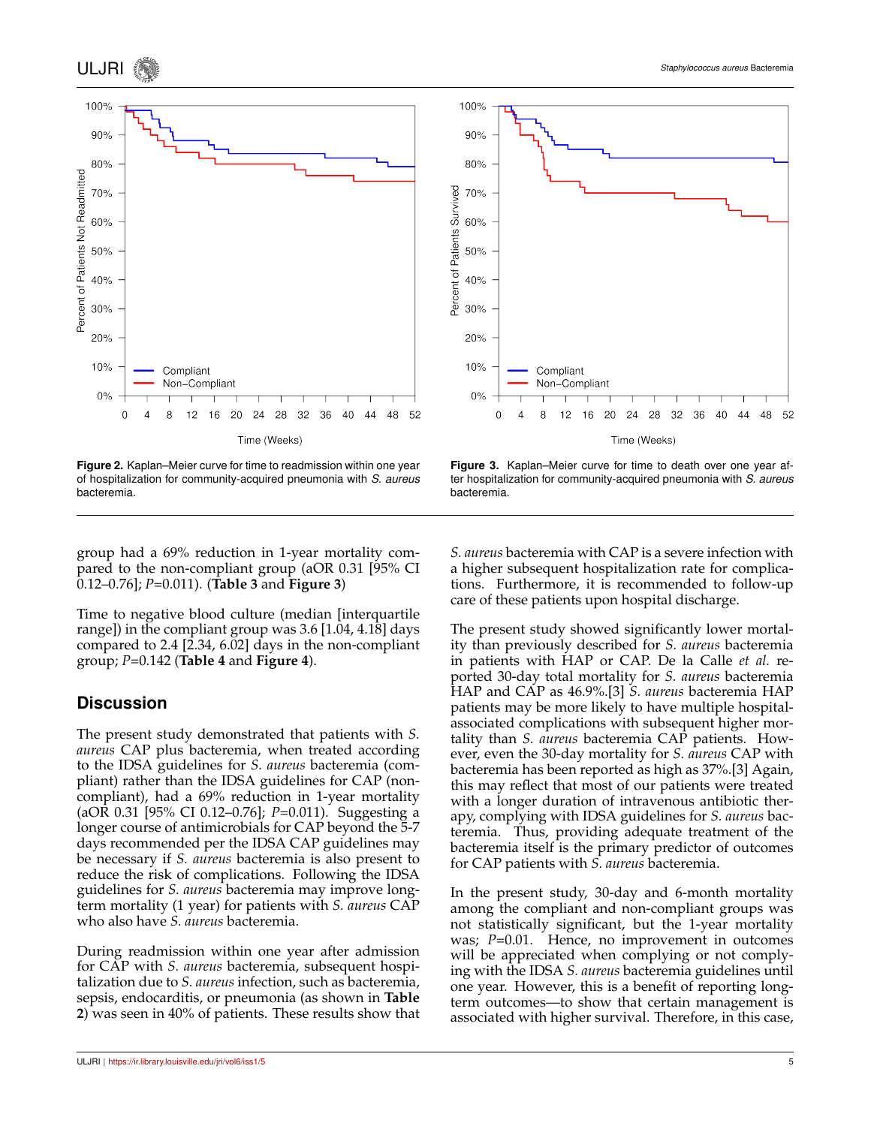

**Figure 2.** Kaplan–Meier curve for time to readmission within one year of hospitalization for community-acquired pneumonia with *S. aureus* bacteremia.

group had a 69% reduction in 1-year mortality compared to the non-compliant group (aOR 0.31 [95% CI 0.12–0.76]; *P*=0.011). (**Table 3** and **Figure 3**)

Time to negative blood culture (median [interquartile range]) in the compliant group was 3.6 [1.04, 4.18] days compared to 2.4 [2.34, 6.02] days in the non-compliant group; *P*=0.142 (**Table 4** and **Figure 4**).

# **Discussion**

The present study demonstrated that patients with *S. aureus* CAP plus bacteremia, when treated according to the IDSA guidelines for *S. aureus* bacteremia (compliant) rather than the IDSA guidelines for CAP (noncompliant), had a 69% reduction in 1-year mortality (aOR 0.31 [95% CI 0.12–0.76]; *P*=0.011). Suggesting a longer course of antimicrobials for CAP beyond the 5-7 days recommended per the IDSA CAP guidelines may be necessary if *S. aureus* bacteremia is also present to reduce the risk of complications. Following the IDSA guidelines for *S. aureus* bacteremia may improve longterm mortality (1 year) for patients with *S. aureus* CAP who also have *S. aureus* bacteremia.

During readmission within one year after admission for CAP with *S. aureus* bacteremia, subsequent hospitalization due to *S. aureus* infection, such as bacteremia, sepsis, endocarditis, or pneumonia (as shown in **Table 2**) was seen in 40% of patients. These results show that



100%

**Figure 3.** Kaplan–Meier curve for time to death over one year after hospitalization for community-acquired pneumonia with *S. aureus* bacteremia.

*S. aureus* bacteremia with CAP is a severe infection with a higher subsequent hospitalization rate for complications. Furthermore, it is recommended to follow-up care of these patients upon hospital discharge.

The present study showed significantly lower mortality than previously described for *S. aureus* bacteremia in patients with HAP or CAP. De la Calle *et al.* reported 30-day total mortality for *S. aureus* bacteremia HAP and CAP as 46.9%.[3] *S. aureus* bacteremia HAP patients may be more likely to have multiple hospitalassociated complications with subsequent higher mortality than *S. aureus* bacteremia CAP patients. However, even the 30-day mortality for *S. aureus* CAP with bacteremia has been reported as high as 37%.[3] Again, this may reflect that most of our patients were treated with a longer duration of intravenous antibiotic therapy, complying with IDSA guidelines for *S. aureus* bacteremia. Thus, providing adequate treatment of the bacteremia itself is the primary predictor of outcomes for CAP patients with *S. aureus* bacteremia.

In the present study, 30-day and 6-month mortality among the compliant and non-compliant groups was not statistically significant, but the 1-year mortality was; *P*=0.01. Hence, no improvement in outcomes will be appreciated when complying or not complying with the IDSA *S. aureus* bacteremia guidelines until one year. However, this is a benefit of reporting longterm outcomes—to show that certain management is associated with higher survival. Therefore, in this case,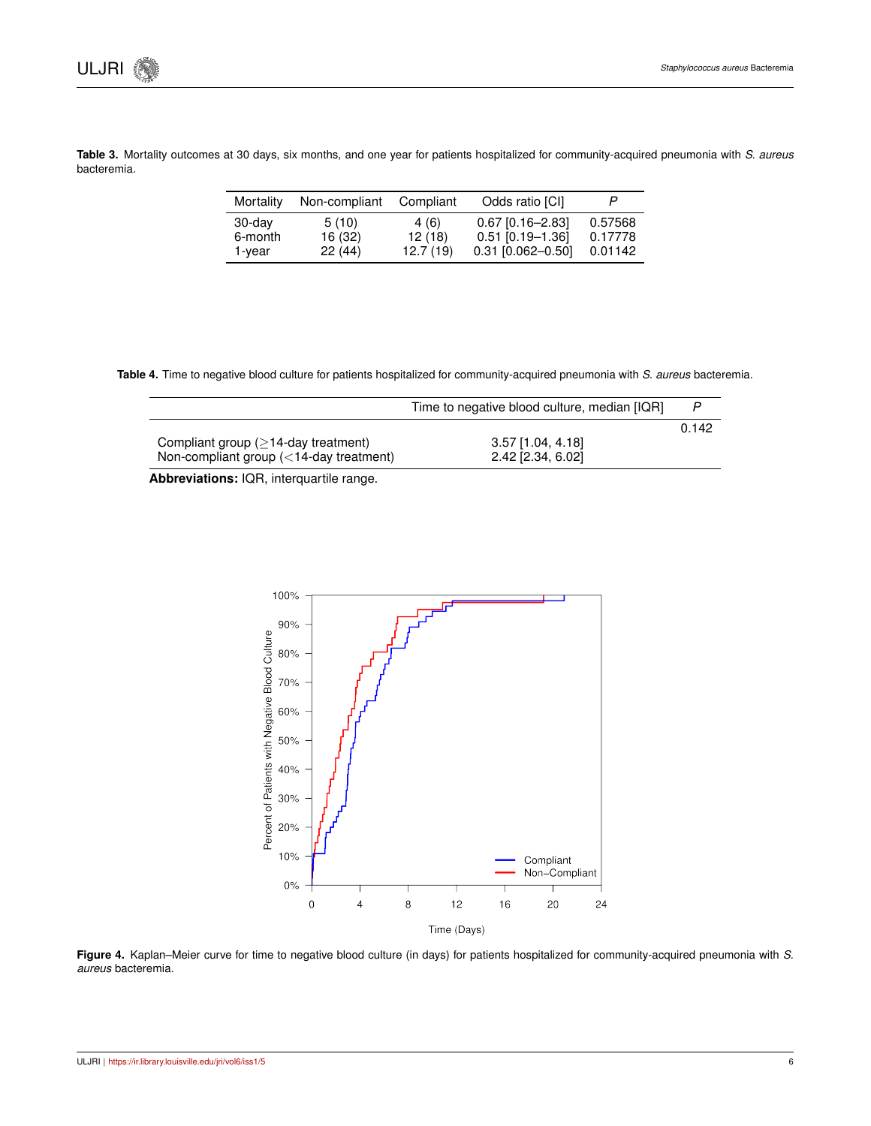|             |  |  |  | Table 3. Mortality outcomes at 30 days, six months, and one year for patients hospitalized for community-acquired pneumonia with S. aureus |  |  |
|-------------|--|--|--|--------------------------------------------------------------------------------------------------------------------------------------------|--|--|
| bacteremia. |  |  |  |                                                                                                                                            |  |  |

| Mortality | Non-compliant | Compliant | Odds ratio [CI]     | P       |
|-----------|---------------|-----------|---------------------|---------|
| 30-day    | 5(10)         | 4(6)      | $0.67$ [0.16-2.83]  | 0.57568 |
| 6-month   | 16 (32)       | 12(18)    | $0.51$ [0.19-1.36]  | 0.17778 |
| 1-year    | 22 (44)       | 12.7(19)  | $0.31$ [0.062-0.50] | 0.01142 |

**Table 4.** Time to negative blood culture for patients hospitalized for community-acquired pneumonia with *S. aureus* bacteremia.

|                                                  | Time to negative blood culture, median [IQR] |       |
|--------------------------------------------------|----------------------------------------------|-------|
|                                                  |                                              | 0.142 |
| Compliant group $(>14$ -day treatment)           | 3.57 [1.04, 4.18]                            |       |
| Non-compliant group $\left($ < 14-day treatment) | 2.42 [2.34, 6.02]                            |       |

**Abbreviations:** IQR, interquartile range.



**Figure 4.** Kaplan–Meier curve for time to negative blood culture (in days) for patients hospitalized for community-acquired pneumonia with *S. aureus* bacteremia.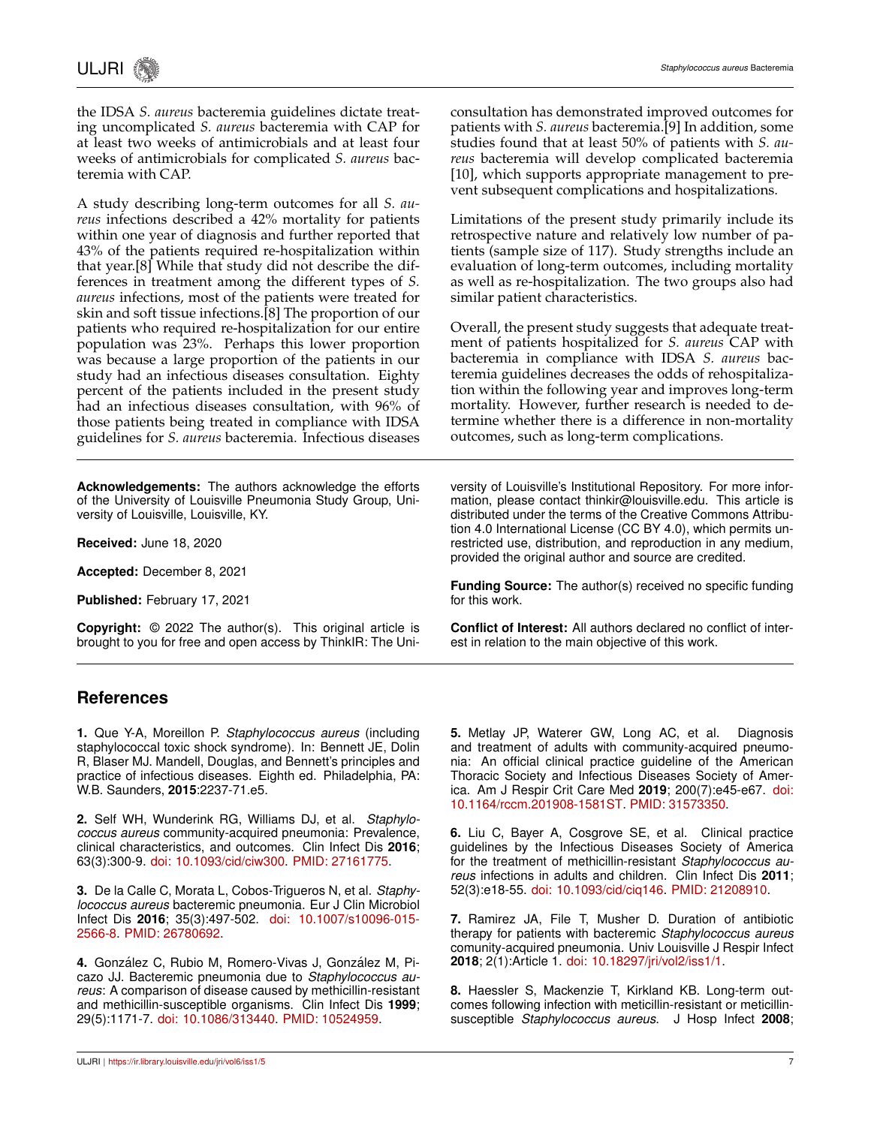the IDSA *S. aureus* bacteremia guidelines dictate treating uncomplicated *S. aureus* bacteremia with CAP for at least two weeks of antimicrobials and at least four weeks of antimicrobials for complicated *S. aureus* bacteremia with CAP.

A study describing long-term outcomes for all *S. aureus* infections described a 42% mortality for patients within one year of diagnosis and further reported that 43% of the patients required re-hospitalization within that year.[8] While that study did not describe the differences in treatment among the different types of *S. aureus* infections, most of the patients were treated for skin and soft tissue infections.[8] The proportion of our patients who required re-hospitalization for our entire population was 23%. Perhaps this lower proportion was because a large proportion of the patients in our study had an infectious diseases consultation. Eighty percent of the patients included in the present study had an infectious diseases consultation, with 96% of those patients being treated in compliance with IDSA guidelines for *S. aureus* bacteremia. Infectious diseases

**Acknowledgements:** The authors acknowledge the efforts of the University of Louisville Pneumonia Study Group, University of Louisville, Louisville, KY.

**Received:** June 18, 2020

**Accepted:** December 8, 2021

**Published:** February 17, 2021

**Copyright:** © 2022 The author(s). This original article is brought to you for free and open access by ThinkIR: The Uniconsultation has demonstrated improved outcomes for patients with *S. aureus* bacteremia.[9] In addition, some studies found that at least 50% of patients with *S. aureus* bacteremia will develop complicated bacteremia [10], which supports appropriate management to prevent subsequent complications and hospitalizations.

Limitations of the present study primarily include its retrospective nature and relatively low number of patients (sample size of 117). Study strengths include an evaluation of long-term outcomes, including mortality as well as re-hospitalization. The two groups also had similar patient characteristics.

Overall, the present study suggests that adequate treatment of patients hospitalized for *S. aureus* CAP with bacteremia in compliance with IDSA *S. aureus* bacteremia guidelines decreases the odds of rehospitalization within the following year and improves long-term mortality. However, further research is needed to determine whether there is a difference in non-mortality outcomes, such as long-term complications.

versity of Louisville's Institutional Repository. For more information, please contact thinkir@louisville.edu. This article is distributed under the terms of the Creative Commons Attribution 4.0 International License (CC BY 4.0), which permits unrestricted use, distribution, and reproduction in any medium, provided the original author and source are credited.

**Funding Source:** The author(s) received no specific funding for this work.

**Conflict of Interest:** All authors declared no conflict of interest in relation to the main objective of this work.

### **References**

**1.** Que Y-A, Moreillon P. *Staphylococcus aureus* (including staphylococcal toxic shock syndrome). In: Bennett JE, Dolin R, Blaser MJ. Mandell, Douglas, and Bennett's principles and practice of infectious diseases. Eighth ed. Philadelphia, PA: W.B. Saunders, **2015**:2237-71.e5.

**2.** Self WH, Wunderink RG, Williams DJ, et al. *Staphylococcus aureus* community-acquired pneumonia: Prevalence, clinical characteristics, and outcomes. Clin Infect Dis **2016**; 63(3):300-9. [doi: 10.1093/cid/ciw300.](http://dx.doi.org/10.1093/cid/ciw300) [PMID: 27161775.](https://pubmed.ncbi.nlm.nih.gov/27161775/)

**3.** De la Calle C, Morata L, Cobos-Trigueros N, et al. *Staphylococcus aureus* bacteremic pneumonia. Eur J Clin Microbiol Infect Dis **2016**; 35(3):497-502. [doi: 10.1007/s10096-015-](http://dx.doi.org/10.1007/s10096-015-2566-8) [2566-8.](http://dx.doi.org/10.1007/s10096-015-2566-8) [PMID: 26780692.](https://pubmed.ncbi.nlm.nih.gov/26780692/)

4. González C, Rubio M, Romero-Vivas J, González M, Picazo JJ. Bacteremic pneumonia due to *Staphylococcus aureus*: A comparison of disease caused by methicillin-resistant and methicillin-susceptible organisms. Clin Infect Dis **1999**; 29(5):1171-7. [doi: 10.1086/313440.](http://dx.doi.org/10.1086/313440) [PMID: 10524959.](https://pubmed.ncbi.nlm.nih.gov/10524959/)

**5.** Metlay JP, Waterer GW, Long AC, et al. Diagnosis and treatment of adults with community-acquired pneumonia: An official clinical practice guideline of the American Thoracic Society and Infectious Diseases Society of America. Am J Respir Crit Care Med **2019**; 200(7):e45-e67. [doi:](http://dx.doi.org/10.1164/rccm.201908-1581ST) [10.1164/rccm.201908-1581ST.](http://dx.doi.org/10.1164/rccm.201908-1581ST) [PMID: 31573350.](https://pubmed.ncbi.nlm.nih.gov/31573350/)

**6.** Liu C, Bayer A, Cosgrove SE, et al. Clinical practice guidelines by the Infectious Diseases Society of America for the treatment of methicillin-resistant *Staphylococcus aureus* infections in adults and children. Clin Infect Dis **2011**; 52(3):e18-55. [doi: 10.1093/cid/ciq146.](http://dx.doi.org/10.1093/cid/ciq146) [PMID: 21208910.](https://pubmed.ncbi.nlm.nih.gov/21208910/)

**7.** Ramirez JA, File T, Musher D. Duration of antibiotic therapy for patients with bacteremic *Staphylococcus aureus* comunity-acquired pneumonia. Univ Louisville J Respir Infect **2018**; 2(1):Article 1. [doi: 10.18297/jri/vol2/iss1/1.](http://dx.doi.org/10.18297/jri/vol2/iss1/1)

**8.** Haessler S, Mackenzie T, Kirkland KB. Long-term outcomes following infection with meticillin-resistant or meticillinsusceptible *Staphylococcus aureus*. J Hosp Infect **2008**;